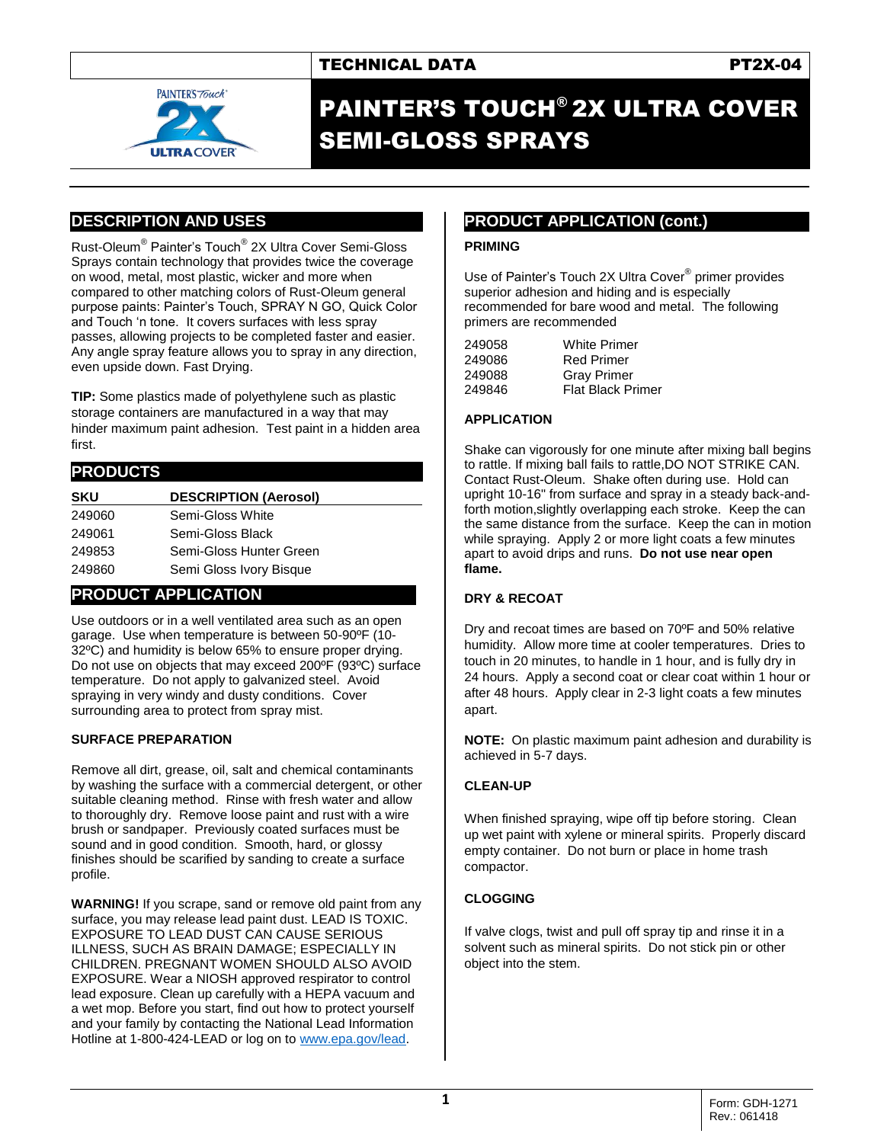

# PAINTER'S TOUCH® 2X ULTRA COVER SEMI-GLOSS SPRAYS

# **DESCRIPTION AND USES**

Rust-Oleum® Painter's Touch® 2X Ultra Cover Semi-Gloss Sprays contain technology that provides twice the coverage on wood, metal, most plastic, wicker and more when compared to other matching colors of Rust-Oleum general purpose paints: Painter's Touch, SPRAY N GO, Quick Color and Touch 'n tone. It covers surfaces with less spray passes, allowing projects to be completed faster and easier. Any angle spray feature allows you to spray in any direction, even upside down. Fast Drying.

**TIP:** Some plastics made of polyethylene such as plastic storage containers are manufactured in a way that may hinder maximum paint adhesion. Test paint in a hidden area first.

### **PRODUCTS**

| <b>SKU</b> | <b>DESCRIPTION (Aerosol)</b> |
|------------|------------------------------|
| 249060     | Semi-Gloss White             |
| 249061     | Semi-Gloss Black             |
| 249853     | Semi-Gloss Hunter Green      |
| 249860     | Semi Gloss Ivory Bisque      |

# **PRODUCT APPLICATION**

Use outdoors or in a well ventilated area such as an open garage. Use when temperature is between 50-90ºF (10- 32ºC) and humidity is below 65% to ensure proper drying. Do not use on objects that may exceed 200ºF (93ºC) surface temperature. Do not apply to galvanized steel. Avoid spraying in very windy and dusty conditions. Cover surrounding area to protect from spray mist.

#### **SURFACE PREPARATION**

Remove all dirt, grease, oil, salt and chemical contaminants by washing the surface with a commercial detergent, or other suitable cleaning method. Rinse with fresh water and allow to thoroughly dry. Remove loose paint and rust with a wire brush or sandpaper. Previously coated surfaces must be sound and in good condition. Smooth, hard, or glossy finishes should be scarified by sanding to create a surface profile.

**WARNING!** If you scrape, sand or remove old paint from any surface, you may release lead paint dust. LEAD IS TOXIC. EXPOSURE TO LEAD DUST CAN CAUSE SERIOUS ILLNESS, SUCH AS BRAIN DAMAGE; ESPECIALLY IN CHILDREN. PREGNANT WOMEN SHOULD ALSO AVOID EXPOSURE. Wear a NIOSH approved respirator to control lead exposure. Clean up carefully with a HEPA vacuum and a wet mop. Before you start, find out how to protect yourself and your family by contacting the National Lead Information Hotline at 1-800-424-LEAD or log on t[o www.epa.gov/lead.](http://www.epa.gov/lead)

# **PRODUCT APPLICATION (cont.)**

#### **PRIMING**

Use of Painter's Touch 2X Ultra Cover® primer provides superior adhesion and hiding and is especially recommended for bare wood and metal. The following primers are recommended

| 249058 | <b>White Primer</b>      |
|--------|--------------------------|
| 249086 | <b>Red Primer</b>        |
| 249088 | <b>Gray Primer</b>       |
| 249846 | <b>Flat Black Primer</b> |
|        |                          |

#### **APPLICATION**

Shake can vigorously for one minute after mixing ball begins to rattle. If mixing ball fails to rattle,DO NOT STRIKE CAN. Contact Rust-Oleum. Shake often during use. Hold can upright 10-16" from surface and spray in a steady back-andforth motion,slightly overlapping each stroke. Keep the can the same distance from the surface. Keep the can in motion while spraying. Apply 2 or more light coats a few minutes apart to avoid drips and runs. **Do not use near open flame.**

#### **DRY & RECOAT**

Dry and recoat times are based on 70ºF and 50% relative humidity. Allow more time at cooler temperatures. Dries to touch in 20 minutes, to handle in 1 hour, and is fully dry in 24 hours. Apply a second coat or clear coat within 1 hour or after 48 hours. Apply clear in 2-3 light coats a few minutes apart.

**NOTE:** On plastic maximum paint adhesion and durability is achieved in 5-7 days.

#### **CLEAN-UP**

When finished spraying, wipe off tip before storing. Clean up wet paint with xylene or mineral spirits. Properly discard empty container. Do not burn or place in home trash compactor.

## **CLOGGING**

If valve clogs, twist and pull off spray tip and rinse it in a solvent such as mineral spirits. Do not stick pin or other object into the stem.